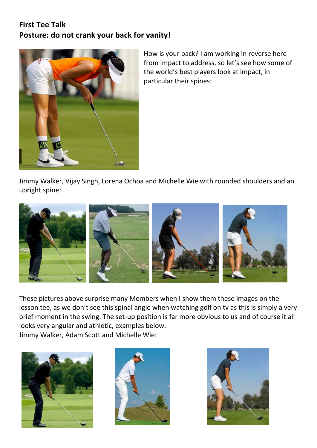## **First Tee Talk Posture: do not crank your back for vanity!**



How is your back? I am working in reverse here from impact to address, so let's see how some of the world's best players look at impact, in particular their spines:

Jimmy Walker, Vijay Singh, Lorena Ochoa and Michelle Wie with rounded shoulders and an upright spine:



These pictures above surprise many Members when I show them these images on the lesson tee, as we don't see this spinal angle when watching golf on tv as this is simply a very brief moment in the swing. The set-up position is far more obvious to us and of course it all looks very angular and athletic, examples below. Jimmy Walker, Adam Scott and Michelle Wie:





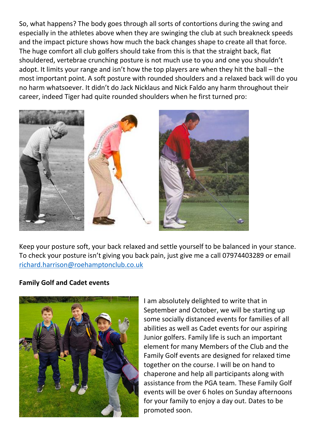So, what happens? The body goes through all sorts of contortions during the swing and especially in the athletes above when they are swinging the club at such breakneck speeds and the impact picture shows how much the back changes shape to create all that force. The huge comfort all club golfers should take from this is that the straight back, flat shouldered, vertebrae crunching posture is not much use to you and one you shouldn't adopt. It limits your range and isn't how the top players are when they hit the ball – the most important point. A soft posture with rounded shoulders and a relaxed back will do you no harm whatsoever. It didn't do Jack Nicklaus and Nick Faldo any harm throughout their career, indeed Tiger had quite rounded shoulders when he first turned pro:



Keep your posture soft, your back relaxed and settle yourself to be balanced in your stance. To check your posture isn't giving you back pain, just give me a call 07974403289 or email [richard.harrison@roehamptonclub.co.uk](mailto:richard.harrison@roehamptonclub.co.uk)

## **Family Golf and Cadet events**



I am absolutely delighted to write that in September and October, we will be starting up some socially distanced events for families of all abilities as well as Cadet events for our aspiring Junior golfers. Family life is such an important element for many Members of the Club and the Family Golf events are designed for relaxed time together on the course. I will be on hand to chaperone and help all participants along with assistance from the PGA team. These Family Golf events will be over 6 holes on Sunday afternoons for your family to enjoy a day out. Dates to be promoted soon.